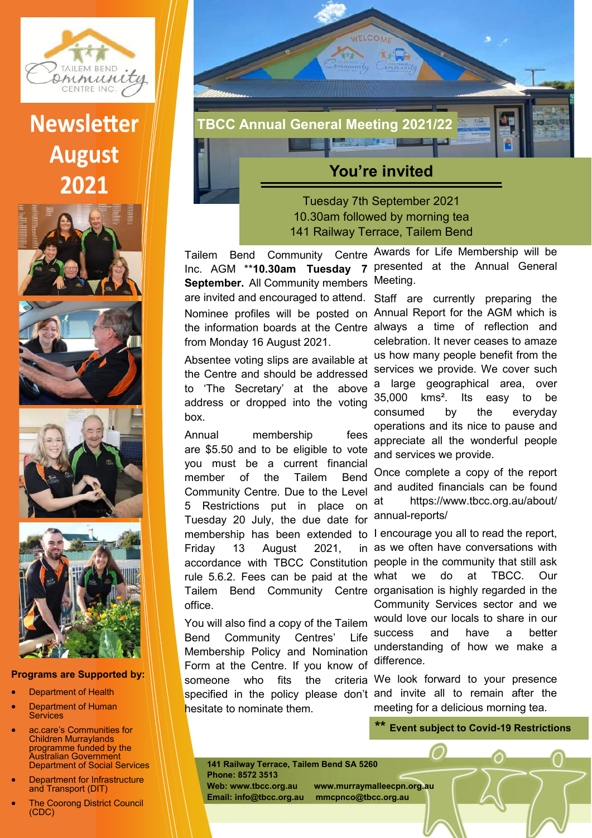

## **Newsletter August** 2021









## **Programs are Supported by:**

- **Department of Health**
- Department of Human Services
- ac.care's Communities for Children Murraylands programme funded by the Australian Government Department of Social Services
- **Department for Infrastructure** and Transport (DIT)
- **The Coorong District Council** (CDC)



## **You're invited**

Tuesday 7th September 2021 10.30am followed by morning tea 141 Railway Terrace, Tailem Bend

Tailem Bend Community Centre Awards for Life Membership will be Inc. AGM \*\***10.30am Tuesday 7 September.** All Community members Meeting.

the information boards at the Centre always a time of reflection and from Monday 16 August 2021.

Absentee voting slips are available at the Centre and should be addressed to 'The Secretary' at the above address or dropped into the voting box.

Annual membership fees are \$5.50 and to be eligible to vote you must be a current financial member of the Tailem Bend Community Centre. Due to the Level 5 Restrictions put in place on Tuesday 20 July, the due date for membership has been extended to I encourage you all to read the report, Friday 13 August 2021, accordance with TBCC Constitution people in the community that still ask rule 5.6.2. Fees can be paid at the what we do at TBCC. Our Tailem Bend Community Centre organisation is highly regarded in the office.

You will also find a copy of the Tailem Bend Community Centres' Life Membership Policy and Nomination Form at the Centre. If you know of someone who fits the specified in the policy please don't and invite all to remain after the hesitate to nominate them.

presented at the Annual General

are invited and encouraged to attend. Staff are currently preparing the Nominee profiles will be posted on Annual Report for the AGM which is celebration. It never ceases to amaze us how many people benefit from the services we provide. We cover such a large geographical area, over 35,000 kms². Its easy to be consumed by the everyday operations and its nice to pause and appreciate all the wonderful people and services we provide.

> Once complete a copy of the report and audited financials can be found at https://www.tbcc.org.au/about/ annual-reports/

in as we often have conversations with Community Services sector and we would love our locals to share in our success and have a better understanding of how we make a difference.

criteria We look forward to your presence meeting for a delicious morning tea.

**\*\* Event subject to Covid-19 Restrictions** 

**141 Railway Terrace, Tailem Bend SA 5260 Phone: 8572 3513 Web: www.tbcc.org.au www.murraymalleecpn.org.au** 

**Email: info@tbcc.org.au mmcpnco@tbcc.org.au**